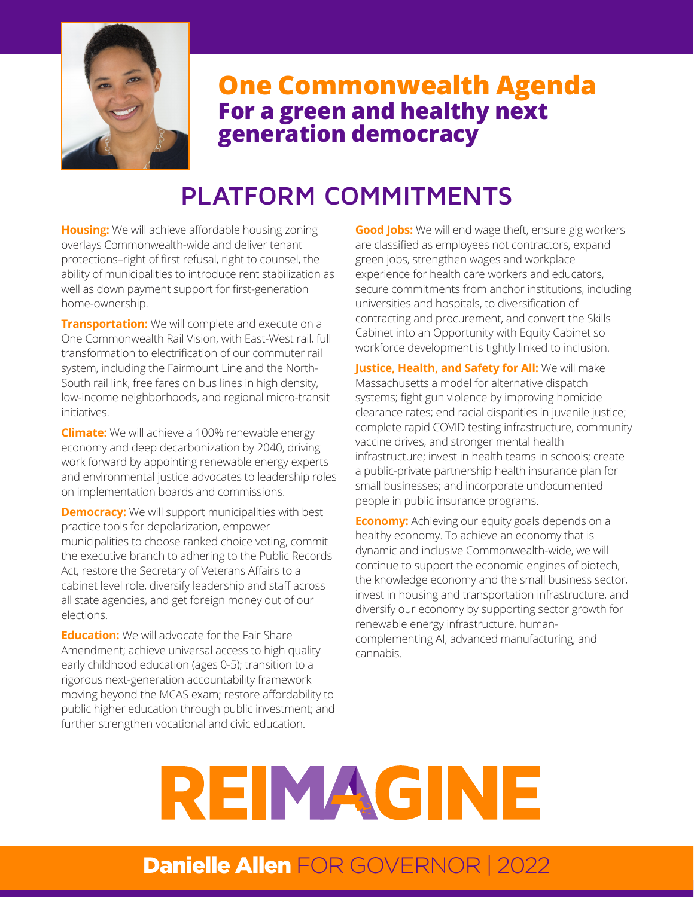

## **One Commonwealth Agenda For a green and healthy next generation democracy**

# **PLATFORM COMMITMENTS**

**Housing:** We will achieve affordable housing zoning overlays Commonwealth-wide and deliver tenant protections–right of first refusal, right to counsel, the ability of municipalities to introduce rent stabilization as well as down payment support for first-generation home-ownership.

**Transportation:** We will complete and execute on a One Commonwealth Rail Vision, with East-West rail, full transformation to electrification of our commuter rail system, including the Fairmount Line and the North-South rail link, free fares on bus lines in high density, low-income neighborhoods, and regional micro-transit initiatives.

**Climate:** We will achieve a 100% renewable energy economy and deep decarbonization by 2040, driving work forward by appointing renewable energy experts and environmental justice advocates to leadership roles on implementation boards and commissions.

**Democracy:** We will support municipalities with best practice tools for depolarization, empower municipalities to choose ranked choice voting, commit the executive branch to adhering to the Public Records Act, restore the Secretary of Veterans Affairs to a cabinet level role, diversify leadership and staff across all state agencies, and get foreign money out of our elections.

**Education:** We will advocate for the Fair Share Amendment; achieve universal access to high quality early childhood education (ages 0-5); transition to a rigorous next-generation accountability framework moving beyond the MCAS exam; restore affordability to public higher education through public investment; and further strengthen vocational and civic education.

**Good Jobs:** We will end wage theft, ensure gig workers are classified as employees not contractors, expand green jobs, strengthen wages and workplace experience for health care workers and educators, secure commitments from anchor institutions, including universities and hospitals, to diversification of contracting and procurement, and convert the Skills Cabinet into an Opportunity with Equity Cabinet so workforce development is tightly linked to inclusion.

**Justice, Health, and Safety for All:** We will make Massachusetts a model for alternative dispatch systems; fight gun violence by improving homicide clearance rates; end racial disparities in juvenile justice; complete rapid COVID testing infrastructure, community vaccine drives, and stronger mental health infrastructure; invest in health teams in schools; create a public-private partnership health insurance plan for small businesses; and incorporate undocumented people in public insurance programs.

**Economy:** Achieving our equity goals depends on a healthy economy. To achieve an economy that is dynamic and inclusive Commonwealth-wide, we will continue to support the economic engines of biotech, the knowledge economy and the small business sector, invest in housing and transportation infrastructure, and diversify our economy by supporting sector growth for renewable energy infrastructure, humancomplementing AI, advanced manufacturing, and cannabis.

# **REMAGINE**

## Danielle Allen FOR GOVERNOR | 2022